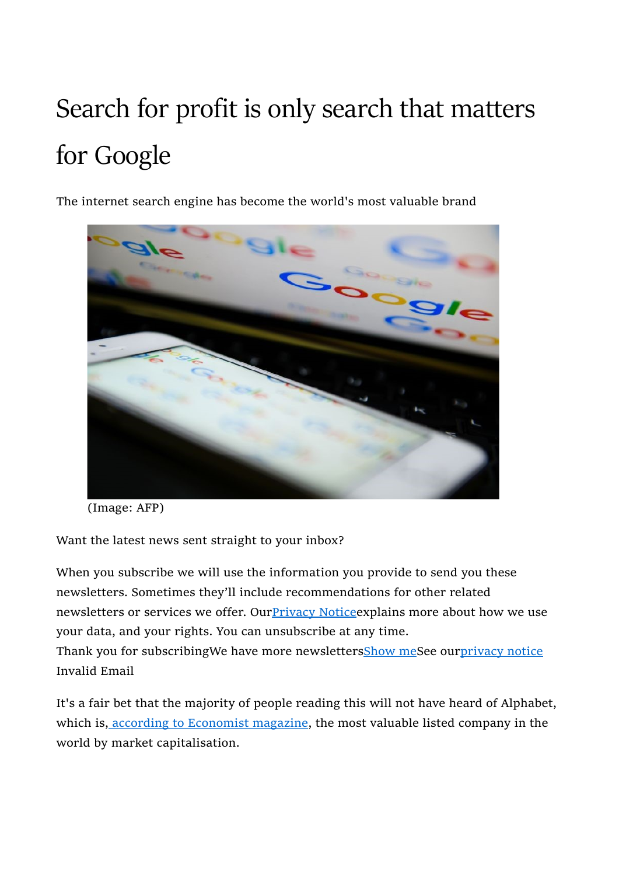# Search for profit is only search that matters for Google

The internet search engine has become the world's most valuable brand



(Image: AFP)

Want the latest news sent straight to your inbox?

When you subscribe we will use the information you provide to send you these newsletters. Sometimes they'll include recommendations for other related newsletters or services we offer. Our Privacy Notice explains more about how we use your data, and your rights. You can unsubscribe at any time.

Thank you for subscribingWe have more newslettersShow meSee ourprivacy notice Invalid Email

It's a fair bet that the majority of people reading this will not have heard of Alphabet, which is, according to Economist magazine, the most valuable listed company in the world by market capitalisation.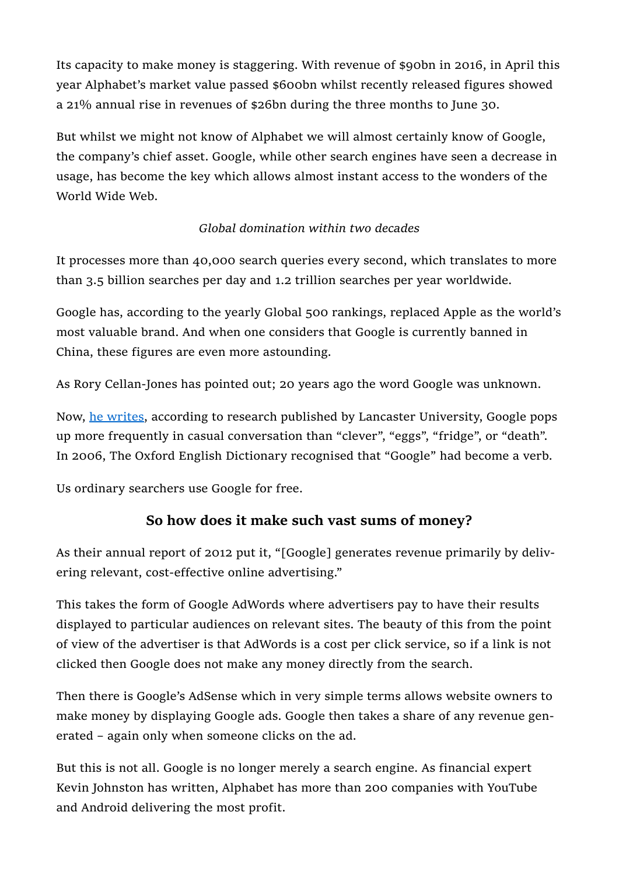Its capacity to make money is staggering. With revenue of \$90bn in 2016, in April this year Alphabet's market value passed \$600bn whilst recently released figures showed a 21% annual rise in revenues of \$26bn during the three months to June 30.

But whilst we might not know of Alphabet we will almost certainly know of Google, the company's chief asset. Google, while other search engines have seen a decrease in usage, has become the key which allows almost instant access to the wonders of the World Wide Web.

#### Global domination within two decades

It processes more than 40,000 search queries every second, which translates to more than 3.5 billion searches per day and 1.2 trillion searches per year worldwide.

Google has, according to the yearly Global 500 rankings, replaced Apple as the world's most valuable brand. And when one considers that Google is currently banned in China, these figures are even more astounding.

As Rory Cellan-Jones has pointed out; 20 years ago the word Google was unknown.

Now, he writes, according to research published by Lancaster University, Google pops up more frequently in casual conversation than "clever", "eggs", "fridge", or "death". In 2006, The Oxford English Dictionary recognised that "Google" had become a verb.

Us ordinary searchers use Google for free.

## So how does it make such vast sums of money?

As their annual report of 2012 put it, "[Google] generates revenue primarily by delivering relevant, cost-effective online advertising."

This takes the form of Google AdWords where advertisers pay to have their results displayed to particular audiences on relevant sites. The beauty of this from the point of view of the advertiser is that AdWords is a cost per click service, so if a link is not clicked then Google does not make any money directly from the search.

Then there is Google's AdSense which in very simple terms allows website owners to make money by displaying Google ads. Google then takes a share of any revenue generated – again only when someone clicks on the ad.

But this is not all. Google is no longer merely a search engine. As financial expert Kevin Johnston has written, Alphabet has more than 200 companies with YouTube and Android delivering the most profit.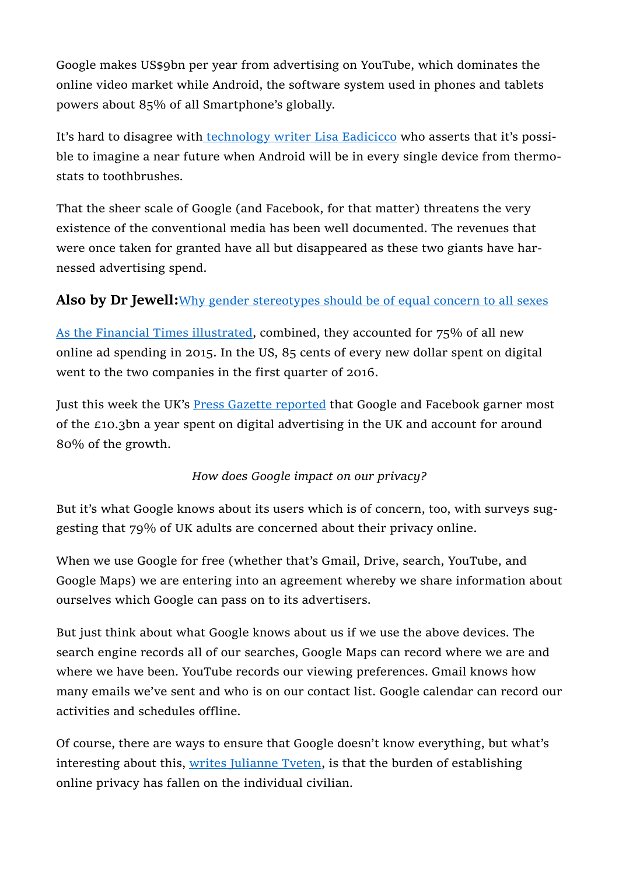Google makes US\$9bn per year from advertising on YouTube, which dominates the online video market while Android, the software system used in phones and tablets powers about 85% of all Smartphone's globally.

It's hard to disagree with **technology** writer Lisa Eadicicco who asserts that it's possible to imagine a near future when Android will be in every single device from thermostats to toothbrushes.

That the sheer scale of Google (and Facebook, for that matter) threatens the very existence of the conventional media has been well documented. The revenues that were once taken for granted have all but disappeared as these two giants have harnessed advertising spend.

#### Also by Dr Jewell: Why gender stereotypes should be of equal concern to all sexes

As the Financial Times illustrated, combined, they accounted for 75% of all new online ad spending in 2015. In the US, 85 cents of every new dollar spent on digital went to the two companies in the first quarter of 2016.

Just this week the UK's **Press Gazette reported** that Google and Facebook garner most of the £10.3bn a year spent on digital advertising in the UK and account for around 80% of the growth.

#### How does Google impact on our privacy?

But it's what Google knows about its users which is of concern, too, with surveys suggesting that 79% of UK adults are concerned about their privacy online.

When we use Google for free (whether that's Gmail, Drive, search, YouTube, and Google Maps) we are entering into an agreement whereby we share information about ourselves which Google can pass on to its advertisers.

But just think about what Google knows about us if we use the above devices. The search engine records all of our searches, Google Maps can record where we are and where we have been. YouTube records our viewing preferences. Gmail knows how many emails we've sent and who is on our contact list. Google calendar can record our activities and schedules offline.

Of course, there are ways to ensure that Google doesn't know everything, but what's interesting about this, writes Julianne Tveten, is that the burden of establishing online privacy has fallen on the individual civilian.